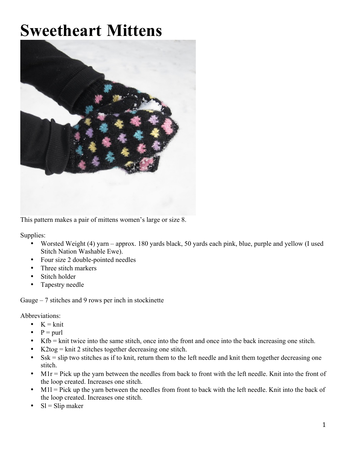# **Sweetheart Mittens**



This pattern makes a pair of mittens women's large or size 8.

Supplies:

- Worsted Weight (4) yarn approx. 180 yards black, 50 yards each pink, blue, purple and yellow (I used Stitch Nation Washable Ewe).
- Four size 2 double-pointed needles
- Three stitch markers
- Stitch holder
- Tapestry needle

Gauge  $-7$  stitches and 9 rows per inch in stockinette

Abbreviations:

- $K = k$ nit
- $P =$  purl
- Kfb = knit twice into the same stitch, once into the front and once into the back increasing one stitch.
- K2tog = knit 2 stitches together decreasing one stitch.
- Ssk = slip two stitches as if to knit, return them to the left needle and knit them together decreasing one stitch.
- M1r = Pick up the yarn between the needles from back to front with the left needle. Knit into the front of the loop created. Increases one stitch.
- M1l = Pick up the yarn between the needles from front to back with the left needle. Knit into the back of the loop created. Increases one stitch.
- $SI = Slip$  maker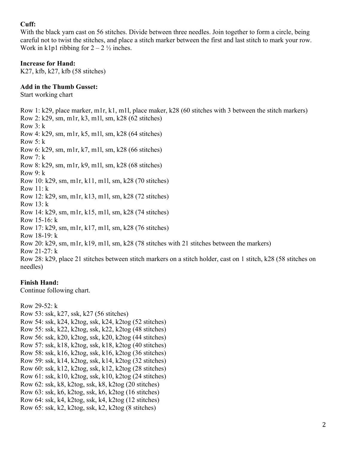## **Cuff:**

With the black yarn cast on 56 stitches. Divide between three needles. Join together to form a circle, being careful not to twist the stitches, and place a stitch marker between the first and last stitch to mark your row. Work in k1p1 ribbing for  $2 - 2 \frac{1}{2}$  inches.

#### **Increase for Hand:**

K27, kfb, k27, kfb (58 stitches)

#### **Add in the Thumb Gusset:**

Start working chart

Row 1: k29, place marker, m1r, k1, m1l, place maker, k28 (60 stitches with 3 between the stitch markers) Row 2: k29, sm, m1r, k3, m1l, sm, k28 (62 stitches) Row 3: k Row 4: k29, sm, m1r, k5, m1l, sm, k28 (64 stitches) Row 5: k Row 6: k29, sm, m1r, k7, m1l, sm, k28 (66 stitches) Row 7: k Row 8: k29, sm, m1r, k9, m1l, sm, k28 (68 stitches) Row 9: k Row 10: k29, sm, m1r, k11, m1l, sm, k28 (70 stitches) Row 11: k Row 12: k29, sm, m1r, k13, m1l, sm, k28 (72 stitches) Row 13: k Row 14: k29, sm, m1r, k15, m1l, sm, k28 (74 stitches) Row 15-16: k Row 17: k29, sm, m1r, k17, m1l, sm, k28 (76 stitches) Row 18-19: k Row 20: k29, sm, m1r, k19, m1l, sm, k28 (78 stitches with 21 stitches between the markers) Row 21-27: k Row 28: k29, place 21 stitches between stitch markers on a stitch holder, cast on 1 stitch, k28 (58 stitches on needles)

#### **Finish Hand:**

Continue following chart.

Row 29-52: k

Row 53: ssk, k27, ssk, k27 (56 stitches) Row 54: ssk, k24, k2tog, ssk, k24, k2tog (52 stitches) Row 55: ssk, k22, k2tog, ssk, k22, k2tog (48 stitches) Row 56: ssk, k20, k2tog, ssk, k20, k2tog (44 stitches) Row 57: ssk, k18, k2tog, ssk, k18, k2tog (40 stitches) Row 58: ssk, k16, k2tog, ssk, k16, k2tog (36 stitches) Row 59: ssk, k14, k2tog, ssk, k14, k2tog (32 stitches) Row 60: ssk, k12, k2tog, ssk, k12, k2tog (28 stitches) Row 61: ssk, k10, k2tog, ssk, k10, k2tog (24 stitches) Row 62: ssk, k8, k2tog, ssk, k8, k2tog (20 stitches) Row 63: ssk, k6, k2tog, ssk, k6, k2tog (16 stitches) Row 64: ssk, k4, k2tog, ssk, k4, k2tog (12 stitches) Row 65: ssk, k2, k2tog, ssk, k2, k2tog (8 stitches)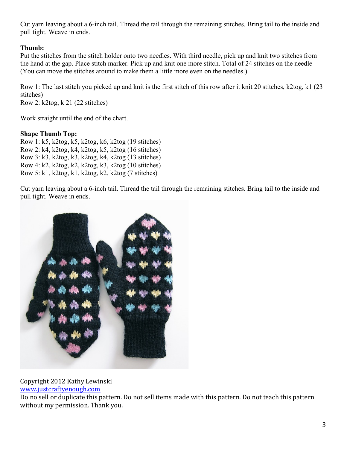Cut yarn leaving about a 6-inch tail. Thread the tail through the remaining stitches. Bring tail to the inside and pull tight. Weave in ends.

## **Thumb:**

Put the stitches from the stitch holder onto two needles. With third needle, pick up and knit two stitches from the hand at the gap. Place stitch marker. Pick up and knit one more stitch. Total of 24 stitches on the needle (You can move the stitches around to make them a little more even on the needles.)

Row 1: The last stitch you picked up and knit is the first stitch of this row after it knit 20 stitches, k2tog, k1 (23 stitches)

Row 2: k2tog, k 21 (22 stitches)

Work straight until the end of the chart.

### **Shape Thumb Top:**

Row 1: k5, k2tog, k5, k2tog, k6, k2tog (19 stitches) Row 2: k4, k2tog, k4, k2tog, k5, k2tog (16 stitches) Row 3: k3, k2tog, k3, k2tog, k4, k2tog (13 stitches) Row 4: k2, k2tog, k2, k2tog, k3, k2tog (10 stitches) Row 5: k1, k2tog, k1, k2tog, k2, k2tog (7 stitches)

Cut yarn leaving about a 6-inch tail. Thread the tail through the remaining stitches. Bring tail to the inside and pull tight. Weave in ends.



Copyright 2012 Kathy Lewinski

www.justcraftyenough.com

Do no sell or duplicate this pattern. Do not sell items made with this pattern. Do not teach this pattern without my permission. Thank you.